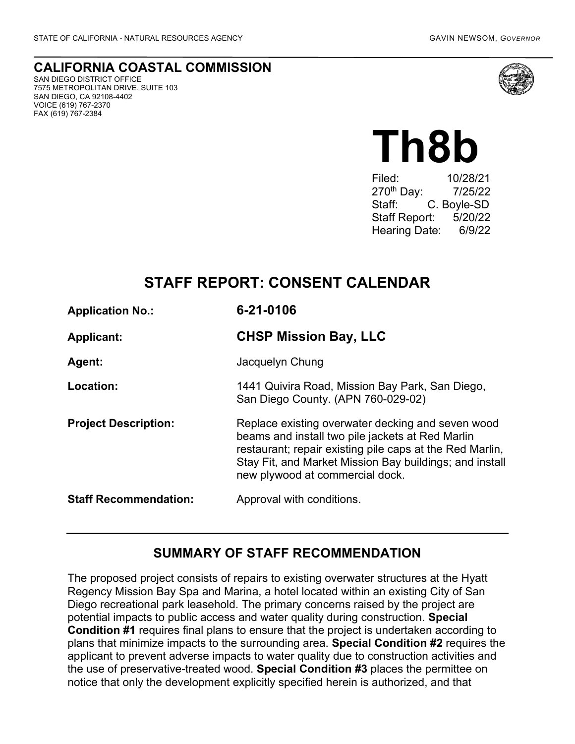#### **CALIFORNIA COASTAL COMMISSION** SAN DIEGO DISTRICT OFFICE

7575 METROPOLITAN DRIVE, SUITE 103 SAN DIEGO, CA 92108-4402 VOICE (619) 767-2370 FAX (619) 767-2384



# **Th8b**

Filed: 10/28/21 270<sup>th</sup> Day: 7/25/22 Staff: C. Boyle-SD Staff Report: 5/20/22 Hearing Date: 6/9/22

## **STAFF REPORT: CONSENT CALENDAR**

| <b>Application No.:</b>      | 6-21-0106                                                                                                                                                                                                                                                       |
|------------------------------|-----------------------------------------------------------------------------------------------------------------------------------------------------------------------------------------------------------------------------------------------------------------|
| <b>Applicant:</b>            | <b>CHSP Mission Bay, LLC</b>                                                                                                                                                                                                                                    |
| Agent:                       | Jacquelyn Chung                                                                                                                                                                                                                                                 |
| Location:                    | 1441 Quivira Road, Mission Bay Park, San Diego,<br>San Diego County. (APN 760-029-02)                                                                                                                                                                           |
| <b>Project Description:</b>  | Replace existing overwater decking and seven wood<br>beams and install two pile jackets at Red Marlin<br>restaurant; repair existing pile caps at the Red Marlin,<br>Stay Fit, and Market Mission Bay buildings; and install<br>new plywood at commercial dock. |
| <b>Staff Recommendation:</b> | Approval with conditions.                                                                                                                                                                                                                                       |

## **SUMMARY OF STAFF RECOMMENDATION**

The proposed project consists of repairs to existing overwater structures at the Hyatt Regency Mission Bay Spa and Marina, a hotel located within an existing City of San Diego recreational park leasehold. The primary concerns raised by the project are potential impacts to public access and water quality during construction. **Special Condition #1** requires final plans to ensure that the project is undertaken according to plans that minimize impacts to the surrounding area. **Special Condition #2** requires the applicant to prevent adverse impacts to water quality due to construction activities and the use of preservative-treated wood. **Special Condition #3** places the permittee on notice that only the development explicitly specified herein is authorized, and that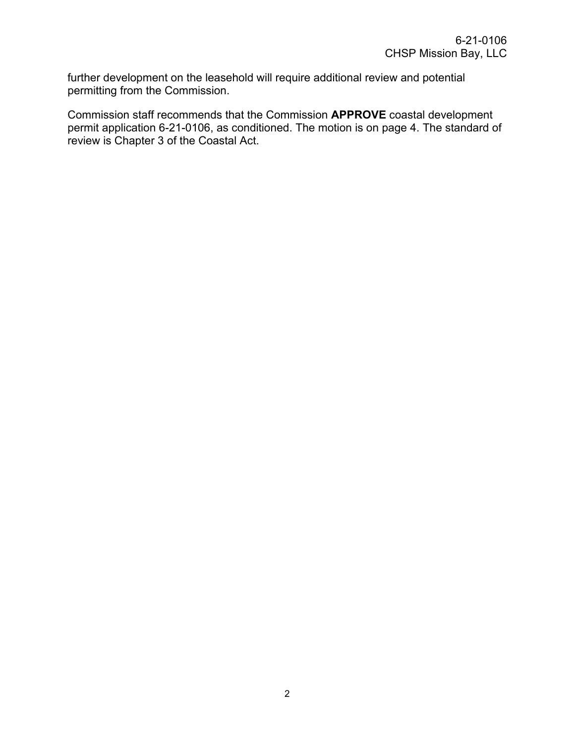further development on the leasehold will require additional review and potential permitting from the Commission.

Commission staff recommends that the Commission **APPROVE** coastal development permit application 6-21-0106, as conditioned. The motion is on page 4. The standard of review is Chapter 3 of the Coastal Act.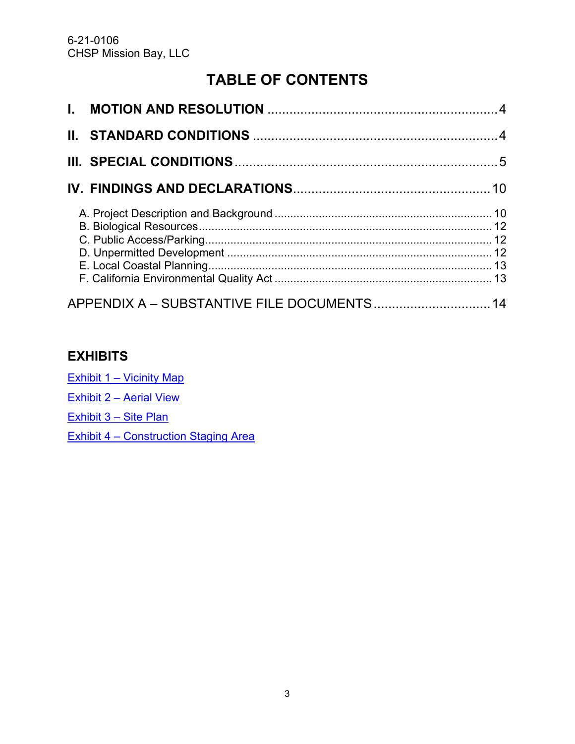## **TABLE OF CONTENTS**

| APPENDIX A - SUBSTANTIVE FILE DOCUMENTS 14 |  |
|--------------------------------------------|--|

## **EXHIBITS**

Exhibit 1 – [Vicinity Map](https://documents.coastal.ca.gov/reports/2022/6/Th8b/Th8b-6-2022-exhibits.pdf)

Exhibit 2 – [Aerial View](https://documents.coastal.ca.gov/reports/2022/6/Th8b/Th8b-6-2022-exhibits.pdf)

[Exhibit 3 –](https://documents.coastal.ca.gov/reports/2022/6/Th8b/Th8b-6-2022-exhibits.pdf) Site Plan

Exhibit 4 – [Construction Staging Area](https://documents.coastal.ca.gov/reports/2022/6/Th8b/Th8b-6-2022-exhibits.pdf)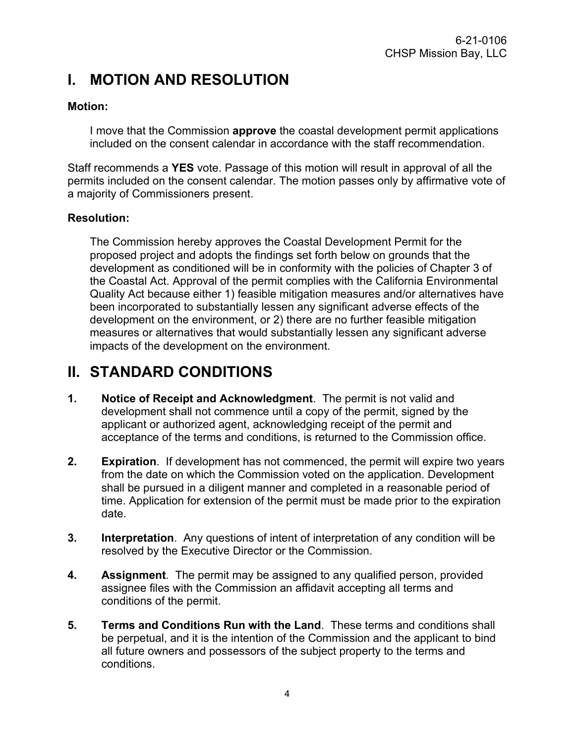## <span id="page-3-0"></span>**I. MOTION AND RESOLUTION**

#### **Motion:**

I move that the Commission **approve** the coastal development permit applications included on the consent calendar in accordance with the staff recommendation.

Staff recommends a **YES** vote. Passage of this motion will result in approval of all the permits included on the consent calendar. The motion passes only by affirmative vote of a majority of Commissioners present.

#### **Resolution:**

The Commission hereby approves the Coastal Development Permit for the proposed project and adopts the findings set forth below on grounds that the development as conditioned will be in conformity with the policies of Chapter 3 of the Coastal Act. Approval of the permit complies with the California Environmental Quality Act because either 1) feasible mitigation measures and/or alternatives have been incorporated to substantially lessen any significant adverse effects of the development on the environment, or 2) there are no further feasible mitigation measures or alternatives that would substantially lessen any significant adverse impacts of the development on the environment.

## <span id="page-3-1"></span>**II. STANDARD CONDITIONS**

- **1. Notice of Receipt and Acknowledgment**. The permit is not valid and development shall not commence until a copy of the permit, signed by the applicant or authorized agent, acknowledging receipt of the permit and acceptance of the terms and conditions, is returned to the Commission office.
- **2. Expiration**. If development has not commenced, the permit will expire two years from the date on which the Commission voted on the application. Development shall be pursued in a diligent manner and completed in a reasonable period of time. Application for extension of the permit must be made prior to the expiration date.
- **3. Interpretation**. Any questions of intent of interpretation of any condition will be resolved by the Executive Director or the Commission.
- **4. Assignment**. The permit may be assigned to any qualified person, provided assignee files with the Commission an affidavit accepting all terms and conditions of the permit.
- **5. Terms and Conditions Run with the Land**. These terms and conditions shall be perpetual, and it is the intention of the Commission and the applicant to bind all future owners and possessors of the subject property to the terms and conditions.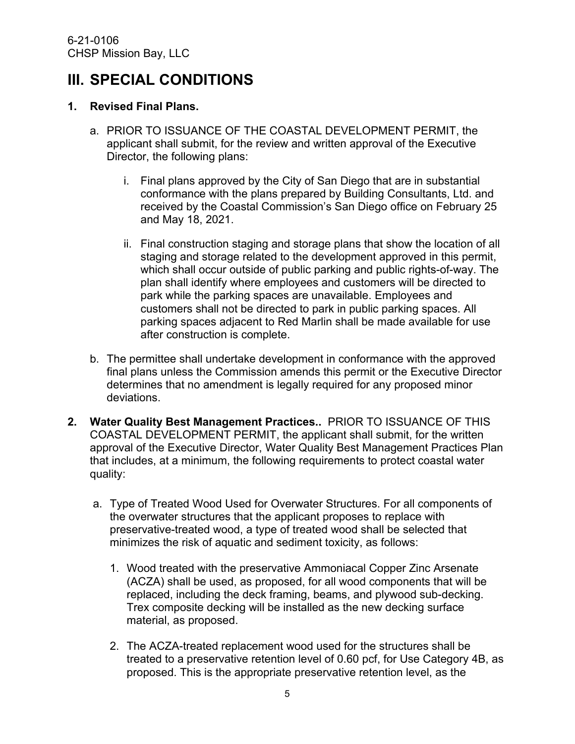## <span id="page-4-0"></span>**III. SPECIAL CONDITIONS**

#### **1. Revised Final Plans.**

- a. PRIOR TO ISSUANCE OF THE COASTAL DEVELOPMENT PERMIT, the applicant shall submit, for the review and written approval of the Executive Director, the following plans:
	- i. Final plans approved by the City of San Diego that are in substantial conformance with the plans prepared by Building Consultants, Ltd. and received by the Coastal Commission's San Diego office on February 25 and May 18, 2021.
	- ii. Final construction staging and storage plans that show the location of all staging and storage related to the development approved in this permit, which shall occur outside of public parking and public rights-of-way. The plan shall identify where employees and customers will be directed to park while the parking spaces are unavailable. Employees and customers shall not be directed to park in public parking spaces. All parking spaces adjacent to Red Marlin shall be made available for use after construction is complete.
- b. The permittee shall undertake development in conformance with the approved final plans unless the Commission amends this permit or the Executive Director determines that no amendment is legally required for any proposed minor deviations.
- **2. Water Quality Best Management Practices..** PRIOR TO ISSUANCE OF THIS COASTAL DEVELOPMENT PERMIT, the applicant shall submit, for the written approval of the Executive Director, Water Quality Best Management Practices Plan that includes, at a minimum, the following requirements to protect coastal water quality:
	- a. Type of Treated Wood Used for Overwater Structures. For all components of the overwater structures that the applicant proposes to replace with preservative-treated wood, a type of treated wood shall be selected that minimizes the risk of aquatic and sediment toxicity, as follows:
		- 1. Wood treated with the preservative Ammoniacal Copper Zinc Arsenate (ACZA) shall be used, as proposed, for all wood components that will be replaced, including the deck framing, beams, and plywood sub-decking. Trex composite decking will be installed as the new decking surface material, as proposed.
		- 2. The ACZA-treated replacement wood used for the structures shall be treated to a preservative retention level of 0.60 pcf, for Use Category 4B, as proposed. This is the appropriate preservative retention level, as the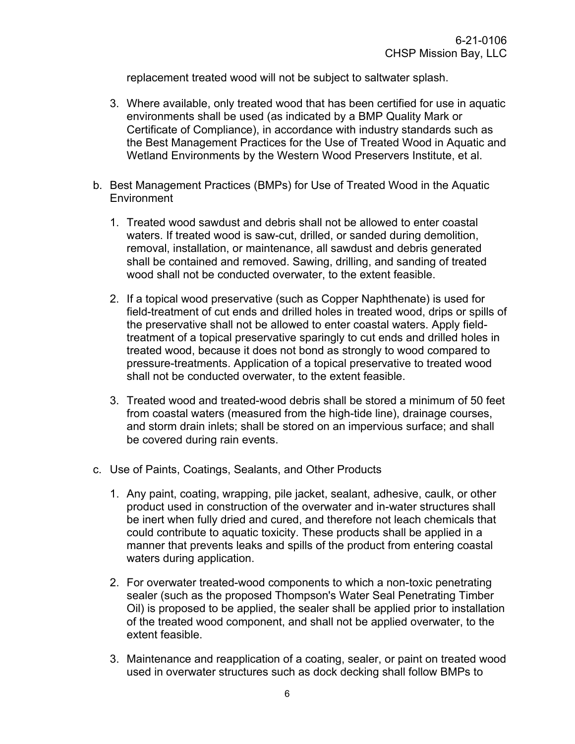replacement treated wood will not be subject to saltwater splash.

- 3. Where available, only treated wood that has been certified for use in aquatic environments shall be used (as indicated by a BMP Quality Mark or Certificate of Compliance), in accordance with industry standards such as the Best Management Practices for the Use of Treated Wood in Aquatic and Wetland Environments by the Western Wood Preservers Institute, et al.
- b. Best Management Practices (BMPs) for Use of Treated Wood in the Aquatic **Environment** 
	- 1. Treated wood sawdust and debris shall not be allowed to enter coastal waters. If treated wood is saw-cut, drilled, or sanded during demolition, removal, installation, or maintenance, all sawdust and debris generated shall be contained and removed. Sawing, drilling, and sanding of treated wood shall not be conducted overwater, to the extent feasible.
	- 2. If a topical wood preservative (such as Copper Naphthenate) is used for field-treatment of cut ends and drilled holes in treated wood, drips or spills of the preservative shall not be allowed to enter coastal waters. Apply fieldtreatment of a topical preservative sparingly to cut ends and drilled holes in treated wood, because it does not bond as strongly to wood compared to pressure-treatments. Application of a topical preservative to treated wood shall not be conducted overwater, to the extent feasible.
	- 3. Treated wood and treated-wood debris shall be stored a minimum of 50 feet from coastal waters (measured from the high-tide line), drainage courses, and storm drain inlets; shall be stored on an impervious surface; and shall be covered during rain events.
- c. Use of Paints, Coatings, Sealants, and Other Products
	- 1. Any paint, coating, wrapping, pile jacket, sealant, adhesive, caulk, or other product used in construction of the overwater and in-water structures shall be inert when fully dried and cured, and therefore not leach chemicals that could contribute to aquatic toxicity. These products shall be applied in a manner that prevents leaks and spills of the product from entering coastal waters during application.
	- 2. For overwater treated-wood components to which a non-toxic penetrating sealer (such as the proposed Thompson's Water Seal Penetrating Timber Oil) is proposed to be applied, the sealer shall be applied prior to installation of the treated wood component, and shall not be applied overwater, to the extent feasible.
	- 3. Maintenance and reapplication of a coating, sealer, or paint on treated wood used in overwater structures such as dock decking shall follow BMPs to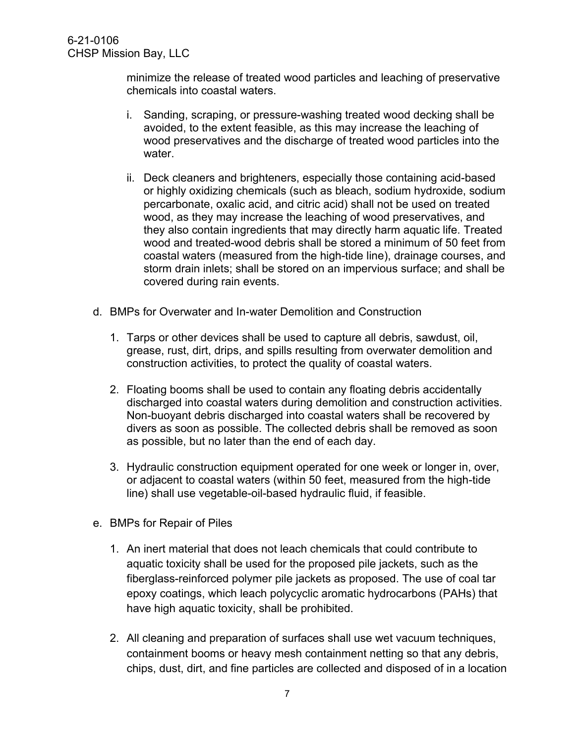minimize the release of treated wood particles and leaching of preservative chemicals into coastal waters.

- i. Sanding, scraping, or pressure-washing treated wood decking shall be avoided, to the extent feasible, as this may increase the leaching of wood preservatives and the discharge of treated wood particles into the water.
- ii. Deck cleaners and brighteners, especially those containing acid-based or highly oxidizing chemicals (such as bleach, sodium hydroxide, sodium percarbonate, oxalic acid, and citric acid) shall not be used on treated wood, as they may increase the leaching of wood preservatives, and they also contain ingredients that may directly harm aquatic life. Treated wood and treated-wood debris shall be stored a minimum of 50 feet from coastal waters (measured from the high-tide line), drainage courses, and storm drain inlets; shall be stored on an impervious surface; and shall be covered during rain events.
- d. BMPs for Overwater and In-water Demolition and Construction
	- 1. Tarps or other devices shall be used to capture all debris, sawdust, oil, grease, rust, dirt, drips, and spills resulting from overwater demolition and construction activities, to protect the quality of coastal waters.
	- 2. Floating booms shall be used to contain any floating debris accidentally discharged into coastal waters during demolition and construction activities. Non-buoyant debris discharged into coastal waters shall be recovered by divers as soon as possible. The collected debris shall be removed as soon as possible, but no later than the end of each day.
	- 3. Hydraulic construction equipment operated for one week or longer in, over, or adjacent to coastal waters (within 50 feet, measured from the high-tide line) shall use vegetable-oil-based hydraulic fluid, if feasible.
- e. BMPs for Repair of Piles
	- 1. An inert material that does not leach chemicals that could contribute to aquatic toxicity shall be used for the proposed pile jackets, such as the fiberglass-reinforced polymer pile jackets as proposed. The use of coal tar epoxy coatings, which leach polycyclic aromatic hydrocarbons (PAHs) that have high aquatic toxicity, shall be prohibited.
	- 2. All cleaning and preparation of surfaces shall use wet vacuum techniques, containment booms or heavy mesh containment netting so that any debris, chips, dust, dirt, and fine particles are collected and disposed of in a location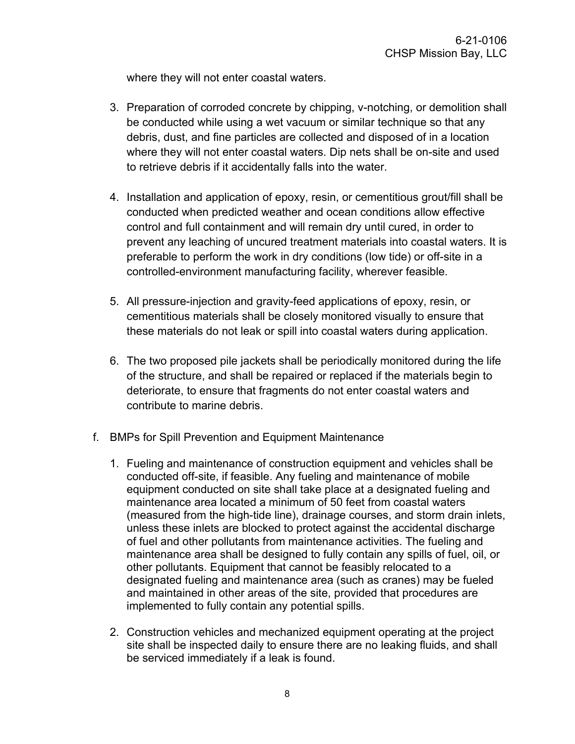where they will not enter coastal waters.

- 3. Preparation of corroded concrete by chipping, v-notching, or demolition shall be conducted while using a wet vacuum or similar technique so that any debris, dust, and fine particles are collected and disposed of in a location where they will not enter coastal waters. Dip nets shall be on-site and used to retrieve debris if it accidentally falls into the water.
- 4. Installation and application of epoxy, resin, or cementitious grout/fill shall be conducted when predicted weather and ocean conditions allow effective control and full containment and will remain dry until cured, in order to prevent any leaching of uncured treatment materials into coastal waters. It is preferable to perform the work in dry conditions (low tide) or off-site in a controlled-environment manufacturing facility, wherever feasible.
- 5. All pressure-injection and gravity-feed applications of epoxy, resin, or cementitious materials shall be closely monitored visually to ensure that these materials do not leak or spill into coastal waters during application.
- 6. The two proposed pile jackets shall be periodically monitored during the life of the structure, and shall be repaired or replaced if the materials begin to deteriorate, to ensure that fragments do not enter coastal waters and contribute to marine debris.
- f. BMPs for Spill Prevention and Equipment Maintenance
	- 1. Fueling and maintenance of construction equipment and vehicles shall be conducted off-site, if feasible. Any fueling and maintenance of mobile equipment conducted on site shall take place at a designated fueling and maintenance area located a minimum of 50 feet from coastal waters (measured from the high-tide line), drainage courses, and storm drain inlets, unless these inlets are blocked to protect against the accidental discharge of fuel and other pollutants from maintenance activities. The fueling and maintenance area shall be designed to fully contain any spills of fuel, oil, or other pollutants. Equipment that cannot be feasibly relocated to a designated fueling and maintenance area (such as cranes) may be fueled and maintained in other areas of the site, provided that procedures are implemented to fully contain any potential spills.
	- 2. Construction vehicles and mechanized equipment operating at the project site shall be inspected daily to ensure there are no leaking fluids, and shall be serviced immediately if a leak is found.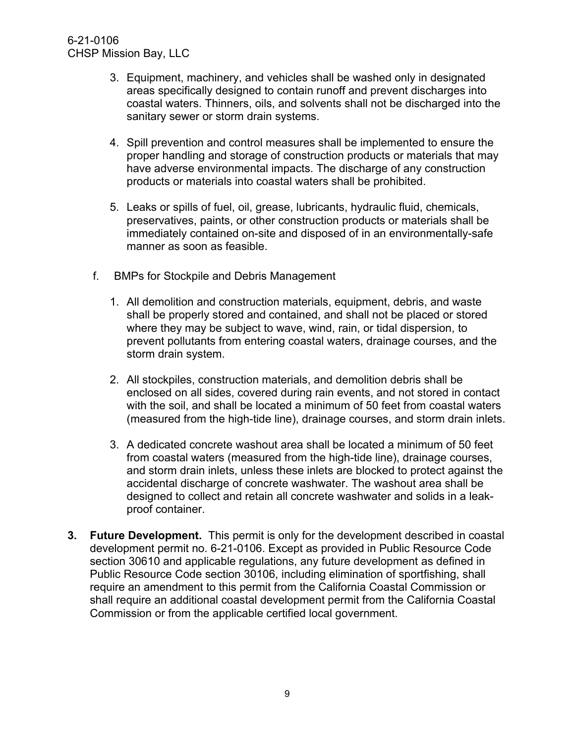#### 6-21-0106 CHSP Mission Bay, LLC

- 3. Equipment, machinery, and vehicles shall be washed only in designated areas specifically designed to contain runoff and prevent discharges into coastal waters. Thinners, oils, and solvents shall not be discharged into the sanitary sewer or storm drain systems.
- 4. Spill prevention and control measures shall be implemented to ensure the proper handling and storage of construction products or materials that may have adverse environmental impacts. The discharge of any construction products or materials into coastal waters shall be prohibited.
- 5. Leaks or spills of fuel, oil, grease, lubricants, hydraulic fluid, chemicals, preservatives, paints, or other construction products or materials shall be immediately contained on-site and disposed of in an environmentally-safe manner as soon as feasible.
- f. BMPs for Stockpile and Debris Management
	- 1. All demolition and construction materials, equipment, debris, and waste shall be properly stored and contained, and shall not be placed or stored where they may be subject to wave, wind, rain, or tidal dispersion, to prevent pollutants from entering coastal waters, drainage courses, and the storm drain system.
	- 2. All stockpiles, construction materials, and demolition debris shall be enclosed on all sides, covered during rain events, and not stored in contact with the soil, and shall be located a minimum of 50 feet from coastal waters (measured from the high-tide line), drainage courses, and storm drain inlets.
	- 3. A dedicated concrete washout area shall be located a minimum of 50 feet from coastal waters (measured from the high-tide line), drainage courses, and storm drain inlets, unless these inlets are blocked to protect against the accidental discharge of concrete washwater. The washout area shall be designed to collect and retain all concrete washwater and solids in a leakproof container.
- **3. Future Development.** This permit is only for the development described in coastal development permit no. 6-21-0106. Except as provided in Public Resource Code section 30610 and applicable regulations, any future development as defined in Public Resource Code section 30106, including elimination of sportfishing, shall require an amendment to this permit from the California Coastal Commission or shall require an additional coastal development permit from the California Coastal Commission or from the applicable certified local government.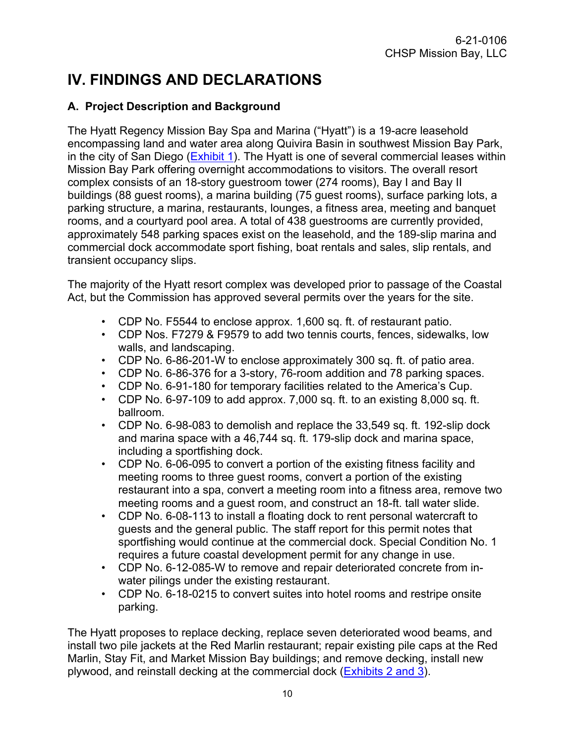# <span id="page-9-0"></span>**IV. FINDINGS AND DECLARATIONS**

#### <span id="page-9-1"></span>**A. Project Description and Background**

The Hyatt Regency Mission Bay Spa and Marina ("Hyatt") is a 19-acre leasehold encompassing land and water area along Quivira Basin in southwest Mission Bay Park, in the city of San Diego [\(Exhibit 1\)](https://documents.coastal.ca.gov/reports/2022/6/Th8b/Th8b-6-2022-exhibits.pdf). The Hyatt is one of several commercial leases within Mission Bay Park offering overnight accommodations to visitors. The overall resort complex consists of an 18-story guestroom tower (274 rooms), Bay I and Bay II buildings (88 guest rooms), a marina building (75 guest rooms), surface parking lots, a parking structure, a marina, restaurants, lounges, a fitness area, meeting and banquet rooms, and a courtyard pool area. A total of 438 guestrooms are currently provided, approximately 548 parking spaces exist on the leasehold, and the 189-slip marina and commercial dock accommodate sport fishing, boat rentals and sales, slip rentals, and transient occupancy slips.

The majority of the Hyatt resort complex was developed prior to passage of the Coastal Act, but the Commission has approved several permits over the years for the site.

- CDP No. F5544 to enclose approx. 1,600 sq. ft. of restaurant patio.
- CDP Nos. F7279 & F9579 to add two tennis courts, fences, sidewalks, low walls, and landscaping.
- CDP No. 6-86-201-W to enclose approximately 300 sq. ft. of patio area.
- CDP No. 6-86-376 for a 3-story, 76-room addition and 78 parking spaces.
- CDP No. 6-91-180 for temporary facilities related to the America's Cup.
- CDP No. 6-97-109 to add approx. 7,000 sq. ft. to an existing 8,000 sq. ft. ballroom.
- CDP No. 6-98-083 to demolish and replace the 33,549 sq. ft. 192-slip dock and marina space with a 46,744 sq. ft. 179-slip dock and marina space, including a sportfishing dock.
- CDP No. 6-06-095 to convert a portion of the existing fitness facility and meeting rooms to three guest rooms, convert a portion of the existing restaurant into a spa, convert a meeting room into a fitness area, remove two meeting rooms and a guest room, and construct an 18-ft. tall water slide.
- CDP No. 6-08-113 to install a floating dock to rent personal watercraft to guests and the general public. The staff report for this permit notes that sportfishing would continue at the commercial dock. Special Condition No. 1 requires a future coastal development permit for any change in use.
- CDP No. 6-12-085-W to remove and repair deteriorated concrete from inwater pilings under the existing restaurant.
- CDP No. 6-18-0215 to convert suites into hotel rooms and restripe onsite parking.

The Hyatt proposes to replace decking, replace seven deteriorated wood beams, and install two pile jackets at the Red Marlin restaurant; repair existing pile caps at the Red Marlin, Stay Fit, and Market Mission Bay buildings; and remove decking, install new plywood, and reinstall decking at the commercial dock [\(Exhibits 2 and 3\)](https://documents.coastal.ca.gov/reports/2022/6/Th8b/Th8b-6-2022-exhibits.pdf).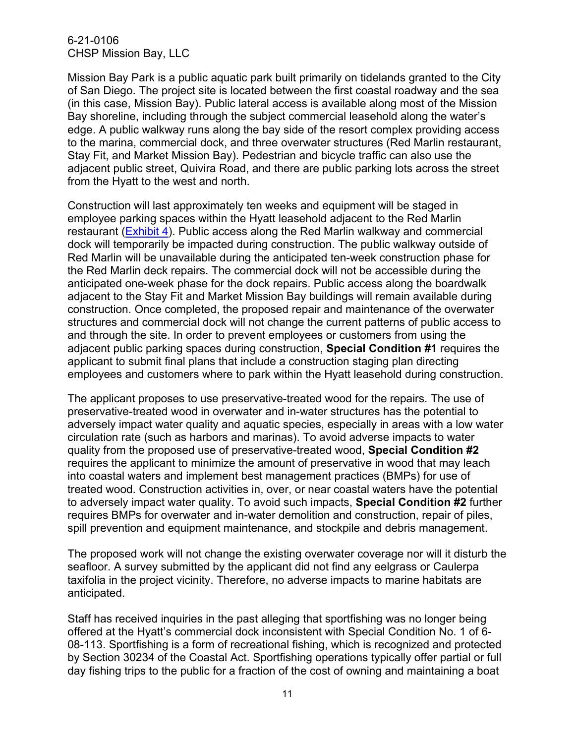6-21-0106 CHSP Mission Bay, LLC

Mission Bay Park is a public aquatic park built primarily on tidelands granted to the City of San Diego. The project site is located between the first coastal roadway and the sea (in this case, Mission Bay). Public lateral access is available along most of the Mission Bay shoreline, including through the subject commercial leasehold along the water's edge. A public walkway runs along the bay side of the resort complex providing access to the marina, commercial dock, and three overwater structures (Red Marlin restaurant, Stay Fit, and Market Mission Bay). Pedestrian and bicycle traffic can also use the adjacent public street, Quivira Road, and there are public parking lots across the street from the Hyatt to the west and north.

Construction will last approximately ten weeks and equipment will be staged in employee parking spaces within the Hyatt leasehold adjacent to the Red Marlin restaurant [\(Exhibit 4\)](https://documents.coastal.ca.gov/reports/2022/6/Th8b/Th8b-6-2022-exhibits.pdf). Public access along the Red Marlin walkway and commercial dock will temporarily be impacted during construction. The public walkway outside of Red Marlin will be unavailable during the anticipated ten-week construction phase for the Red Marlin deck repairs. The commercial dock will not be accessible during the anticipated one-week phase for the dock repairs. Public access along the boardwalk adjacent to the Stay Fit and Market Mission Bay buildings will remain available during construction. Once completed, the proposed repair and maintenance of the overwater structures and commercial dock will not change the current patterns of public access to and through the site. In order to prevent employees or customers from using the adjacent public parking spaces during construction, **Special Condition #1** requires the applicant to submit final plans that include a construction staging plan directing employees and customers where to park within the Hyatt leasehold during construction.

The applicant proposes to use preservative-treated wood for the repairs. The use of preservative-treated wood in overwater and in-water structures has the potential to adversely impact water quality and aquatic species, especially in areas with a low water circulation rate (such as harbors and marinas). To avoid adverse impacts to water quality from the proposed use of preservative-treated wood, **Special Condition #2** requires the applicant to minimize the amount of preservative in wood that may leach into coastal waters and implement best management practices (BMPs) for use of treated wood. Construction activities in, over, or near coastal waters have the potential to adversely impact water quality. To avoid such impacts, **Special Condition #2** further requires BMPs for overwater and in-water demolition and construction, repair of piles, spill prevention and equipment maintenance, and stockpile and debris management.

The proposed work will not change the existing overwater coverage nor will it disturb the seafloor. A survey submitted by the applicant did not find any eelgrass or Caulerpa taxifolia in the project vicinity. Therefore, no adverse impacts to marine habitats are anticipated.

Staff has received inquiries in the past alleging that sportfishing was no longer being offered at the Hyatt's commercial dock inconsistent with Special Condition No. 1 of 6- 08-113. Sportfishing is a form of recreational fishing, which is recognized and protected by Section 30234 of the Coastal Act. Sportfishing operations typically offer partial or full day fishing trips to the public for a fraction of the cost of owning and maintaining a boat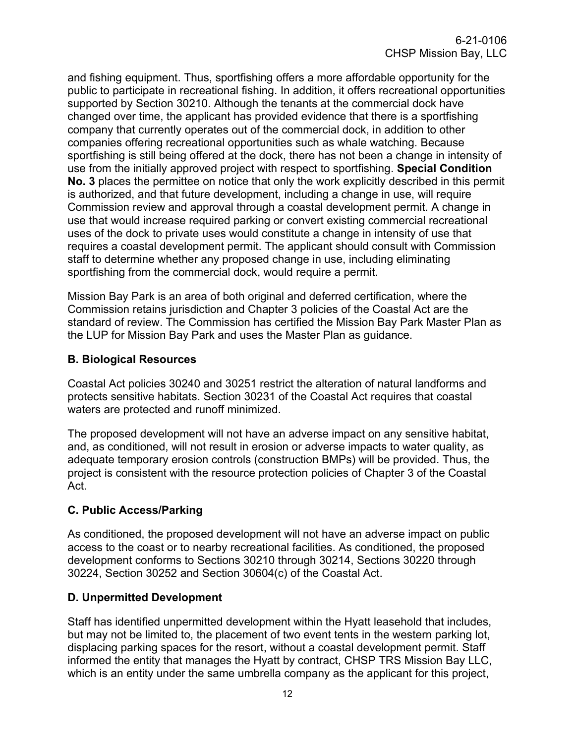and fishing equipment. Thus, sportfishing offers a more affordable opportunity for the public to participate in recreational fishing. In addition, it offers recreational opportunities supported by Section 30210. Although the tenants at the commercial dock have changed over time, the applicant has provided evidence that there is a sportfishing company that currently operates out of the commercial dock, in addition to other companies offering recreational opportunities such as whale watching. Because sportfishing is still being offered at the dock, there has not been a change in intensity of use from the initially approved project with respect to sportfishing. **Special Condition No. 3** places the permittee on notice that only the work explicitly described in this permit is authorized, and that future development, including a change in use, will require Commission review and approval through a coastal development permit. A change in use that would increase required parking or convert existing commercial recreational uses of the dock to private uses would constitute a change in intensity of use that requires a coastal development permit. The applicant should consult with Commission staff to determine whether any proposed change in use, including eliminating sportfishing from the commercial dock, would require a permit.

Mission Bay Park is an area of both original and deferred certification, where the Commission retains jurisdiction and Chapter 3 policies of the Coastal Act are the standard of review. The Commission has certified the Mission Bay Park Master Plan as the LUP for Mission Bay Park and uses the Master Plan as guidance.

#### <span id="page-11-0"></span>**B. Biological Resources**

Coastal Act policies 30240 and 30251 restrict the alteration of natural landforms and protects sensitive habitats. Section 30231 of the Coastal Act requires that coastal waters are protected and runoff minimized.

The proposed development will not have an adverse impact on any sensitive habitat, and, as conditioned, will not result in erosion or adverse impacts to water quality, as adequate temporary erosion controls (construction BMPs) will be provided. Thus, the project is consistent with the resource protection policies of Chapter 3 of the Coastal Act.

#### <span id="page-11-1"></span>**C. Public Access/Parking**

As conditioned, the proposed development will not have an adverse impact on public access to the coast or to nearby recreational facilities. As conditioned, the proposed development conforms to Sections 30210 through 30214, Sections 30220 through 30224, Section 30252 and Section 30604(c) of the Coastal Act.

#### <span id="page-11-2"></span>**D. Unpermitted Development**

Staff has identified unpermitted development within the Hyatt leasehold that includes, but may not be limited to, the placement of two event tents in the western parking lot, displacing parking spaces for the resort, without a coastal development permit. Staff informed the entity that manages the Hyatt by contract, CHSP TRS Mission Bay LLC, which is an entity under the same umbrella company as the applicant for this project,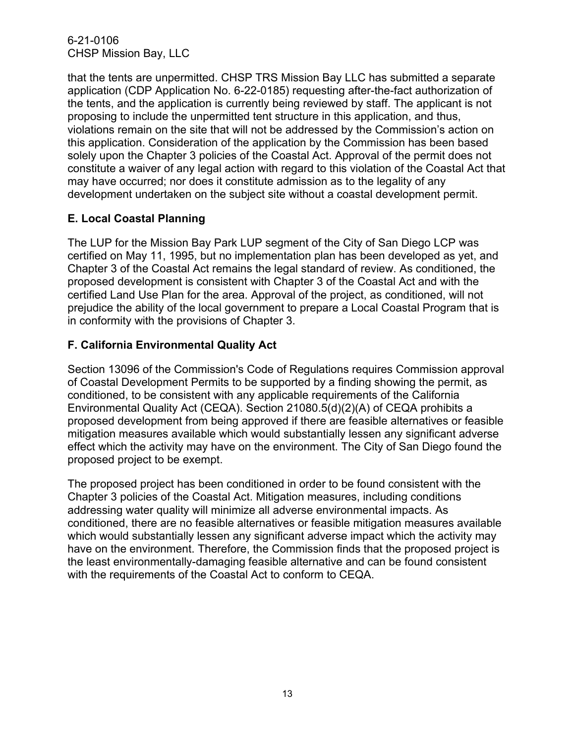6-21-0106 CHSP Mission Bay, LLC

that the tents are unpermitted. CHSP TRS Mission Bay LLC has submitted a separate application (CDP Application No. 6-22-0185) requesting after-the-fact authorization of the tents, and the application is currently being reviewed by staff. The applicant is not proposing to include the unpermitted tent structure in this application, and thus, violations remain on the site that will not be addressed by the Commission's action on this application. Consideration of the application by the Commission has been based solely upon the Chapter 3 policies of the Coastal Act. Approval of the permit does not constitute a waiver of any legal action with regard to this violation of the Coastal Act that may have occurred; nor does it constitute admission as to the legality of any development undertaken on the subject site without a coastal development permit.

#### <span id="page-12-0"></span>**E. Local Coastal Planning**

The LUP for the Mission Bay Park LUP segment of the City of San Diego LCP was certified on May 11, 1995, but no implementation plan has been developed as yet, and Chapter 3 of the Coastal Act remains the legal standard of review. As conditioned, the proposed development is consistent with Chapter 3 of the Coastal Act and with the certified Land Use Plan for the area. Approval of the project, as conditioned, will not prejudice the ability of the local government to prepare a Local Coastal Program that is in conformity with the provisions of Chapter 3.

#### <span id="page-12-1"></span>**F. California Environmental Quality Act**

Section 13096 of the Commission's Code of Regulations requires Commission approval of Coastal Development Permits to be supported by a finding showing the permit, as conditioned, to be consistent with any applicable requirements of the California Environmental Quality Act (CEQA). Section 21080.5(d)(2)(A) of CEQA prohibits a proposed development from being approved if there are feasible alternatives or feasible mitigation measures available which would substantially lessen any significant adverse effect which the activity may have on the environment. The City of San Diego found the proposed project to be exempt.

The proposed project has been conditioned in order to be found consistent with the Chapter 3 policies of the Coastal Act. Mitigation measures, including conditions addressing water quality will minimize all adverse environmental impacts. As conditioned, there are no feasible alternatives or feasible mitigation measures available which would substantially lessen any significant adverse impact which the activity may have on the environment. Therefore, the Commission finds that the proposed project is the least environmentally-damaging feasible alternative and can be found consistent with the requirements of the Coastal Act to conform to CEQA.